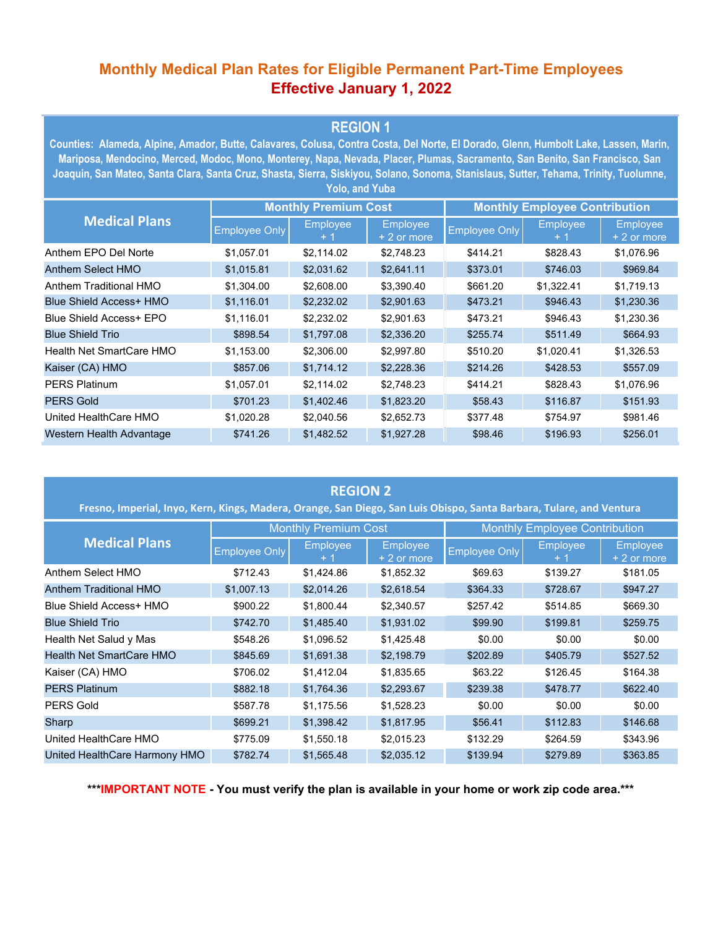## **Monthly Medical Plan Rates for Eligible Permanent Part-Time Employees Effective January 1, 2022**

### **REGION 1**

**Counties: Alameda, Alpine, Amador, Butte, Calavares, Colusa, Contra Costa, Del Norte, El Dorado, Glenn, Humbolt Lake, Lassen, Marin, Mariposa, Mendocino, Merced, Modoc, Mono, Monterey, Napa, Nevada, Placer, Plumas, Sacramento, San Benito, San Francisco, San Joaquin, San Mateo, Santa Clara, Santa Cruz, Shasta, Sierra, Siskiyou, Solano, Sonoma, Stanislaus, Sutter, Tehama, Trinity, Tuolumne, Yolo, and Yuba**

| <b>Medical Plans</b>     | <b>Monthly Premium Cost</b> |                 |                         | <b>Monthly Employee Contribution</b> |            |                                |  |  |
|--------------------------|-----------------------------|-----------------|-------------------------|--------------------------------------|------------|--------------------------------|--|--|
|                          | <b>Employee Only</b>        | <b>Employee</b> | Employee<br>+ 2 or more | <b>Employee Only</b>                 | Employee   | <b>Employee</b><br>+ 2 or more |  |  |
| Anthem EPO Del Norte     | \$1,057.01                  | \$2,114.02      | \$2,748.23              | \$414.21                             | \$828.43   | \$1,076.96                     |  |  |
| Anthem Select HMO        | \$1,015.81                  | \$2,031.62      | \$2,641.11              | \$373.01                             | \$746.03   | \$969.84                       |  |  |
| Anthem Traditional HMO   | \$1,304.00                  | \$2,608.00      | \$3,390.40              | \$661.20                             | \$1,322.41 | \$1,719.13                     |  |  |
| Blue Shield Access+ HMO  | \$1,116.01                  | \$2,232.02      | \$2,901.63              | \$473.21                             | \$946.43   | \$1,230.36                     |  |  |
| Blue Shield Access+ EPO  | \$1,116.01                  | \$2,232.02      | \$2,901.63              | \$473.21                             | \$946.43   | \$1,230.36                     |  |  |
| <b>Blue Shield Trio</b>  | \$898.54                    | \$1,797.08      | \$2,336.20              | \$255.74                             | \$511.49   | \$664.93                       |  |  |
| Health Net SmartCare HMO | \$1,153.00                  | \$2,306.00      | \$2.997.80              | \$510.20                             | \$1,020.41 | \$1,326.53                     |  |  |
| Kaiser (CA) HMO          | \$857.06                    | \$1,714.12      | \$2,228.36              | \$214.26                             | \$428.53   | \$557.09                       |  |  |
| <b>PERS Platinum</b>     | \$1,057.01                  | \$2,114.02      | \$2,748.23              | \$414.21                             | \$828.43   | \$1,076.96                     |  |  |
| <b>PERS Gold</b>         | \$701.23                    | \$1,402.46      | \$1,823.20              | \$58.43                              | \$116.87   | \$151.93                       |  |  |
| United HealthCare HMO    | \$1,020.28                  | \$2,040.56      | \$2,652.73              | \$377.48                             | \$754.97   | \$981.46                       |  |  |
| Western Health Advantage | \$741.26                    | \$1,482.52      | \$1,927.28              | \$98.46                              | \$196.93   | \$256.01                       |  |  |

#### **REGION 2**

| Fresno, Imperial, Inyo, Kern, Kings, Madera, Orange, San Diego, San Luis Obispo, Santa Barbara, Tulare, and Ventura |                             |                 |                                |                                      |                 |                                 |  |
|---------------------------------------------------------------------------------------------------------------------|-----------------------------|-----------------|--------------------------------|--------------------------------------|-----------------|---------------------------------|--|
| <b>Medical Plans</b>                                                                                                | <b>Monthly Premium Cost</b> |                 |                                | <b>Monthly Employee Contribution</b> |                 |                                 |  |
|                                                                                                                     | <b>Employee Only</b>        | <b>Employee</b> | <b>Employee</b><br>+ 2 or more | <b>Employee Only</b>                 | <b>Employee</b> | <b>Employee</b><br>$+2$ or more |  |
| Anthem Select HMO                                                                                                   | \$712.43                    | \$1,424.86      | \$1,852.32                     | \$69.63                              | \$139.27        | \$181.05                        |  |
| Anthem Traditional HMO                                                                                              | \$1,007.13                  | \$2,014.26      | \$2,618.54                     | \$364.33                             | \$728.67        | \$947.27                        |  |
| Blue Shield Access+ HMO                                                                                             | \$900.22                    | \$1,800.44      | \$2,340.57                     | \$257.42                             | \$514.85        | \$669.30                        |  |
| <b>Blue Shield Trio</b>                                                                                             | \$742.70                    | \$1,485.40      | \$1,931.02                     | \$99.90                              | \$199.81        | \$259.75                        |  |
| Health Net Salud y Mas                                                                                              | \$548.26                    | \$1,096.52      | \$1,425.48                     | \$0.00                               | \$0.00          | \$0.00                          |  |
| Health Net SmartCare HMO                                                                                            | \$845.69                    | \$1,691.38      | \$2,198.79                     | \$202.89                             | \$405.79        | \$527.52                        |  |
| Kaiser (CA) HMO                                                                                                     | \$706.02                    | \$1,412.04      | \$1,835.65                     | \$63.22                              | \$126.45        | \$164.38                        |  |
| <b>PERS Platinum</b>                                                                                                | \$882.18                    | \$1,764.36      | \$2,293.67                     | \$239.38                             | \$478.77        | \$622.40                        |  |
| <b>PERS Gold</b>                                                                                                    | \$587.78                    | \$1,175.56      | \$1,528.23                     | \$0.00                               | \$0.00          | \$0.00                          |  |
| Sharp                                                                                                               | \$699.21                    | \$1,398.42      | \$1,817.95                     | \$56.41                              | \$112.83        | \$146.68                        |  |
| United HealthCare HMO                                                                                               | \$775.09                    | \$1,550.18      | \$2,015.23                     | \$132.29                             | \$264.59        | \$343.96                        |  |
| United HealthCare Harmony HMO                                                                                       | \$782.74                    | \$1,565.48      | \$2,035.12                     | \$139.94                             | \$279.89        | \$363.85                        |  |

**\*\*\*IMPORTANT NOTE - You must verify the plan is available in your home or work zip code area.\*\*\***